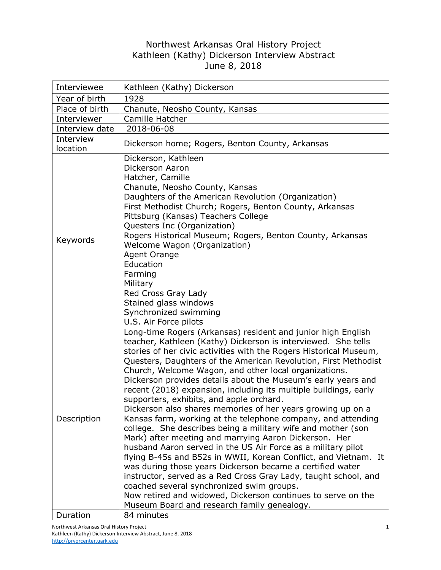## Northwest Arkansas Oral History Project Kathleen (Kathy) Dickerson Interview Abstract June 8, 2018

| Interviewee           | Kathleen (Kathy) Dickerson                                                                                                                                                                                                                                                                                                                                                                                                                                                                                                                                                                                                                                                                                                                                                                                                                                                                                                                                                                                                                                                                                                                                                                              |
|-----------------------|---------------------------------------------------------------------------------------------------------------------------------------------------------------------------------------------------------------------------------------------------------------------------------------------------------------------------------------------------------------------------------------------------------------------------------------------------------------------------------------------------------------------------------------------------------------------------------------------------------------------------------------------------------------------------------------------------------------------------------------------------------------------------------------------------------------------------------------------------------------------------------------------------------------------------------------------------------------------------------------------------------------------------------------------------------------------------------------------------------------------------------------------------------------------------------------------------------|
| Year of birth         | 1928                                                                                                                                                                                                                                                                                                                                                                                                                                                                                                                                                                                                                                                                                                                                                                                                                                                                                                                                                                                                                                                                                                                                                                                                    |
| Place of birth        | Chanute, Neosho County, Kansas                                                                                                                                                                                                                                                                                                                                                                                                                                                                                                                                                                                                                                                                                                                                                                                                                                                                                                                                                                                                                                                                                                                                                                          |
| Interviewer           | Camille Hatcher                                                                                                                                                                                                                                                                                                                                                                                                                                                                                                                                                                                                                                                                                                                                                                                                                                                                                                                                                                                                                                                                                                                                                                                         |
| Interview date        | 2018-06-08                                                                                                                                                                                                                                                                                                                                                                                                                                                                                                                                                                                                                                                                                                                                                                                                                                                                                                                                                                                                                                                                                                                                                                                              |
| Interview<br>location | Dickerson home; Rogers, Benton County, Arkansas                                                                                                                                                                                                                                                                                                                                                                                                                                                                                                                                                                                                                                                                                                                                                                                                                                                                                                                                                                                                                                                                                                                                                         |
| Keywords              | Dickerson, Kathleen<br>Dickerson Aaron<br>Hatcher, Camille<br>Chanute, Neosho County, Kansas<br>Daughters of the American Revolution (Organization)<br>First Methodist Church; Rogers, Benton County, Arkansas<br>Pittsburg (Kansas) Teachers College<br>Questers Inc (Organization)<br>Rogers Historical Museum; Rogers, Benton County, Arkansas<br>Welcome Wagon (Organization)<br>Agent Orange<br>Education<br>Farming<br>Military<br>Red Cross Gray Lady<br>Stained glass windows<br>Synchronized swimming<br>U.S. Air Force pilots                                                                                                                                                                                                                                                                                                                                                                                                                                                                                                                                                                                                                                                                 |
| Description           | Long-time Rogers (Arkansas) resident and junior high English<br>teacher, Kathleen (Kathy) Dickerson is interviewed. She tells<br>stories of her civic activities with the Rogers Historical Museum,<br>Questers, Daughters of the American Revolution, First Methodist<br>Church, Welcome Wagon, and other local organizations.<br>Dickerson provides details about the Museum's early years and<br>recent (2018) expansion, including its multiple buildings, early<br>supporters, exhibits, and apple orchard.<br>Dickerson also shares memories of her years growing up on a<br>Kansas farm, working at the telephone company, and attending<br>college. She describes being a military wife and mother (son<br>Mark) after meeting and marrying Aaron Dickerson. Her<br>husband Aaron served in the US Air Force as a military pilot<br>flying B-45s and B52s in WWII, Korean Conflict, and Vietnam. It<br>was during those years Dickerson became a certified water<br>instructor, served as a Red Cross Gray Lady, taught school, and<br>coached several synchronized swim groups.<br>Now retired and widowed, Dickerson continues to serve on the<br>Museum Board and research family genealogy. |
| Duration              | 84 minutes                                                                                                                                                                                                                                                                                                                                                                                                                                                                                                                                                                                                                                                                                                                                                                                                                                                                                                                                                                                                                                                                                                                                                                                              |